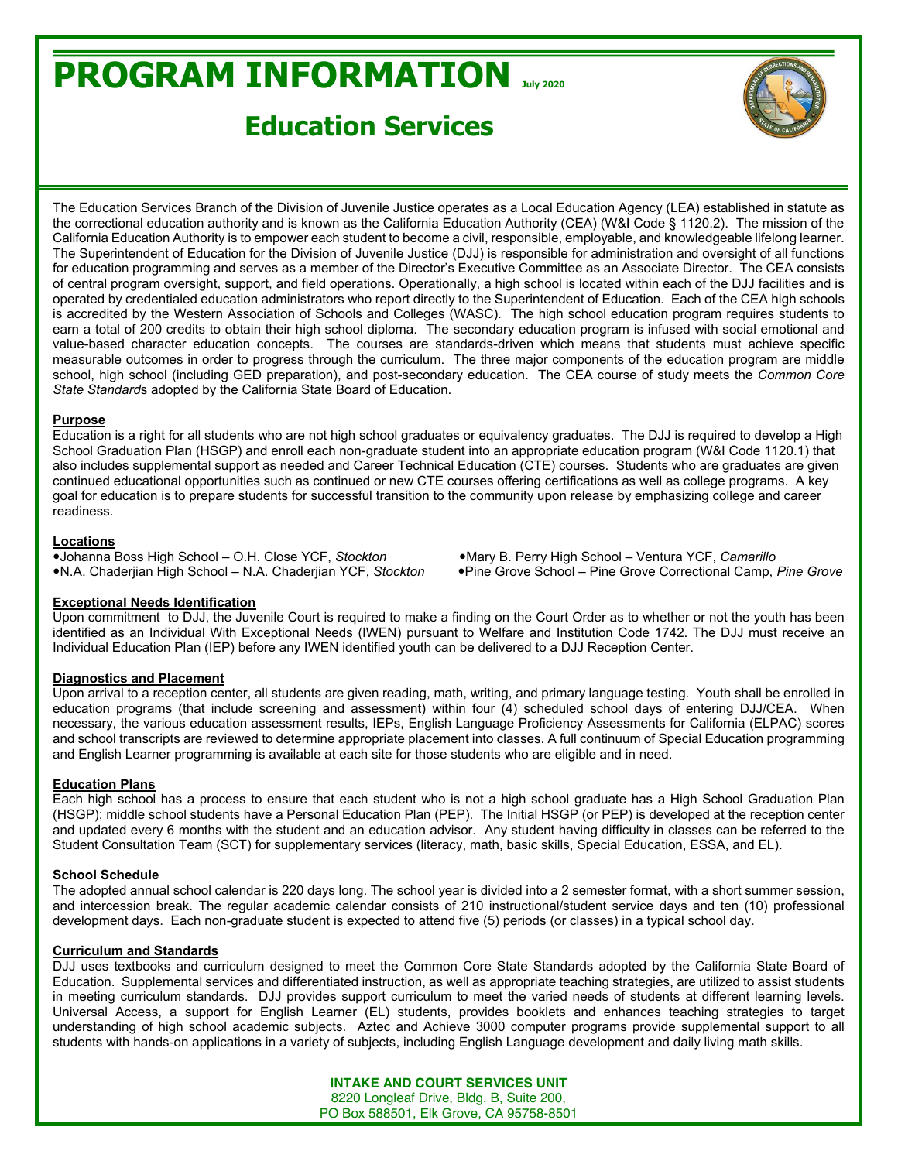# **PROGRAM INFORMATION July <sup>2020</sup>**

# **Education Services**



The Education Services Branch of the Division of Juvenile Justice operates as a Local Education Agency (LEA) established in statute as the correctional education authority and is known as the California Education Authority (CEA) (W&I Code § 1120.2). The mission of the California Education Authority is to empower each student to become a civil, responsible, employable, and knowledgeable lifelong learner. The Superintendent of Education for the Division of Juvenile Justice (DJJ) is responsible for administration and oversight of all functions for education programming and serves as a member of the Director's Executive Committee as an Associate Director. The CEA consists of central program oversight, support, and field operations. Operationally, a high school is located within each of the DJJ facilities and is operated by credentialed education administrators who report directly to the Superintendent of Education. Each of the CEA high schools is accredited by the Western Association of Schools and Colleges (WASC). The high school education program requires students to earn a total of 200 credits to obtain their high school diploma. The secondary education program is infused with social emotional and value-based character education concepts. The courses are standards-driven which means that students must achieve specific measurable outcomes in order to progress through the curriculum. The three major components of the education program are middle school, high school (including GED preparation), and post-secondary education. The CEA course of study meets the *Common Core State Standard*s adopted by the California State Board of Education.

#### **Purpose**

Education is a right for all students who are not high school graduates or equivalency graduates. The DJJ is required to develop a High School Graduation Plan (HSGP) and enroll each non-graduate student into an appropriate education program (W&I Code 1120.1) that also includes supplemental support as needed and Career Technical Education (CTE) courses. Students who are graduates are given continued educational opportunities such as continued or new CTE courses offering certifications as well as college programs. A key goal for education is to prepare students for successful transition to the community upon release by emphasizing college and career readiness.

#### **Locations**

●Johanna Boss High School - O.H. Close YCF, *Stockton* ●Mary B. Perry High School - Ventura YCF, *Camarillo* 

**•N.A. Chaderjian High School - N.A. Chaderjian YCF, Stockton • Pine Grove School - Pine Grove Correctional Camp, Pine Grove** 

## **Exceptional Needs Identification**

Upon commitment to DJJ, the Juvenile Court is required to make a finding on the Court Order as to whether or not the youth has been identified as an Individual With Exceptional Needs (IWEN) pursuant to Welfare and Institution Code 1742. The DJJ must receive an Individual Education Plan (IEP) before any IWEN identified youth can be delivered to a DJJ Reception Center.

## **Diagnostics and Placement**

Upon arrival to a reception center, all students are given reading, math, writing, and primary language testing. Youth shall be enrolled in education programs (that include screening and assessment) within four (4) scheduled school days of entering DJJ/CEA. When necessary, the various education assessment results, IEPs, English Language Proficiency Assessments for California (ELPAC) scores and school transcripts are reviewed to determine appropriate placement into classes. A full continuum of Special Education programming and English Learner programming is available at each site for those students who are eligible and in need.

#### **Education Plans**

Each high school has a process to ensure that each student who is not a high school graduate has a High School Graduation Plan (HSGP); middle school students have a Personal Education Plan (PEP). The Initial HSGP (or PEP) is developed at the reception center and updated every 6 months with the student and an education advisor. Any student having difficulty in classes can be referred to the Student Consultation Team (SCT) for supplementary services (literacy, math, basic skills, Special Education, ESSA, and EL).

### **School Schedule**

The adopted annual school calendar is 220 days long. The school year is divided into a 2 semester format, with a short summer session, and intercession break. The regular academic calendar consists of 210 instructional/student service days and ten (10) professional development days. Each non-graduate student is expected to attend five (5) periods (or classes) in a typical school day.

## **Curriculum and Standards**

DJJ uses textbooks and curriculum designed to meet the Common Core State Standards adopted by the California State Board of Education. Supplemental services and differentiated instruction, as well as appropriate teaching strategies, are utilized to assist students in meeting curriculum standards. DJJ provides support curriculum to meet the varied needs of students at different learning levels. Universal Access, a support for English Learner (EL) students, provides booklets and enhances teaching strategies to target understanding of high school academic subjects. Aztec and Achieve 3000 computer programs provide supplemental support to all students with hands-on applications in a variety of subjects, including English Language development and daily living math skills.

> **INTAKE AND COURT SERVICES UNIT** 8220 Longleaf Drive, Bldg. B, Suite 200, PO Box 588501, Elk Grove, CA 95758-8501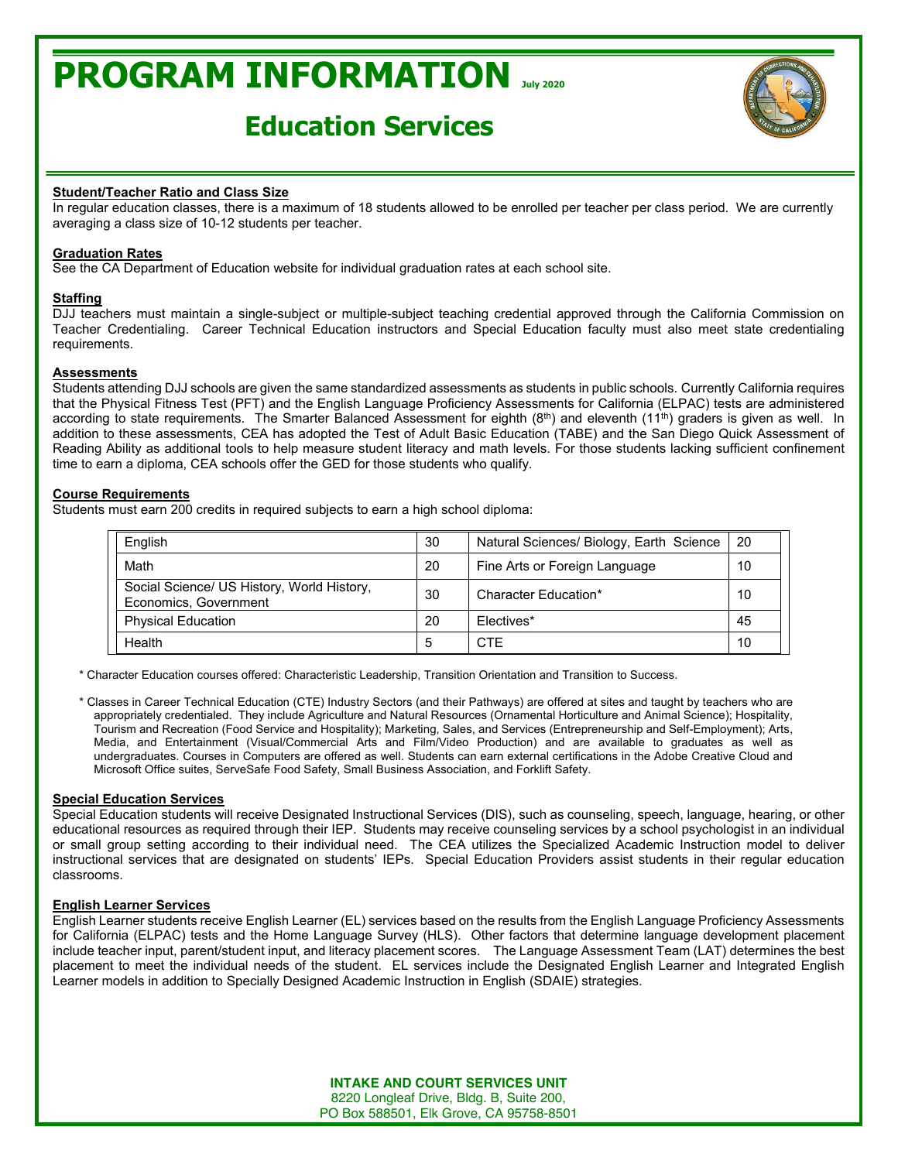# **PROGRAM INFORMATION July <sup>2020</sup>**

# **Education Services**



#### **Student/Teacher Ratio and Class Size**

In regular education classes, there is a maximum of 18 students allowed to be enrolled per teacher per class period. We are currently averaging a class size of 10-12 students per teacher.

#### **Graduation Rates**

See the CA Department of Education website for individual graduation rates at each school site.

#### **Staffing**

DJJ teachers must maintain a single-subject or multiple-subject teaching credential approved through the California Commission on Teacher Credentialing. Career Technical Education instructors and Special Education faculty must also meet state credentialing requirements.

#### **Assessments**

Students attending DJJ schools are given the same standardized assessments as students in public schools. Currently California requires that the Physical Fitness Test (PFT) and the English Language Proficiency Assessments for California (ELPAC) tests are administered according to state requirements. The Smarter Balanced Assessment for eighth (8<sup>th</sup>) and eleventh (11<sup>th</sup>) graders is given as well. In addition to these assessments, CEA has adopted the Test of Adult Basic Education (TABE) and the San Diego Quick Assessment of Reading Ability as additional tools to help measure student literacy and math levels. For those students lacking sufficient confinement time to earn a diploma, CEA schools offer the GED for those students who qualify.

#### **Course Requirements**

Students must earn 200 credits in required subjects to earn a high school diploma:

| English                                                             | 30 | Natural Sciences/ Biology, Earth Science | 20 |
|---------------------------------------------------------------------|----|------------------------------------------|----|
| Math                                                                | 20 | Fine Arts or Foreign Language            | 10 |
| Social Science/ US History, World History,<br>Economics, Government | 30 | Character Education*                     | 10 |
| <b>Physical Education</b>                                           | 20 | Flectives*                               | 45 |
| Health                                                              | 5  | <b>CTF</b>                               | 10 |

\* Character Education courses offered: Characteristic Leadership, Transition Orientation and Transition to Success.

\* Classes in Career Technical Education (CTE) Industry Sectors (and their Pathways) are offered at sites and taught by teachers who are appropriately credentialed. They include Agriculture and Natural Resources (Ornamental Horticulture and Animal Science); Hospitality, Tourism and Recreation (Food Service and Hospitality); Marketing, Sales, and Services (Entrepreneurship and Self-Employment); Arts, Media, and Entertainment (Visual/Commercial Arts and Film/Video Production) and are available to graduates as well as undergraduates. Courses in Computers are offered as well. Students can earn external certifications in the Adobe Creative Cloud and Microsoft Office suites, ServeSafe Food Safety, Small Business Association, and Forklift Safety.

#### **Special Education Services**

Special Education students will receive Designated Instructional Services (DIS), such as counseling, speech, language, hearing, or other educational resources as required through their IEP. Students may receive counseling services by a school psychologist in an individual or small group setting according to their individual need. The CEA utilizes the Specialized Academic Instruction model to deliver instructional services that are designated on students' IEPs. Special Education Providers assist students in their regular education classrooms.

#### **English Learner Services**

English Learner students receive English Learner (EL) services based on the results from the English Language Proficiency Assessments for California (ELPAC) tests and the Home Language Survey (HLS). Other factors that determine language development placement include teacher input, parent/student input, and literacy placement scores. The Language Assessment Team (LAT) determines the best placement to meet the individual needs of the student. EL services include the Designated English Learner and Integrated English Learner models in addition to Specially Designed Academic Instruction in English (SDAIE) strategies.

> **INTAKE AND COURT SERVICES UNIT** 8220 Longleaf Drive, Bldg. B, Suite 200, PO Box 588501, Elk Grove, CA 95758-8501